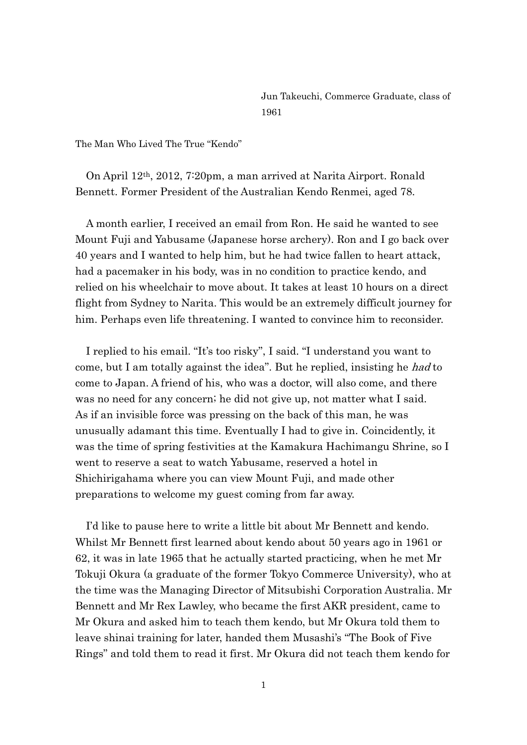Jun Takeuchi, Commerce Graduate, class of 1961

The Man Who Lived The True "Kendo"

 On April 12th, 2012, 7:20pm, a man arrived at Narita Airport. Ronald Bennett. Former President of the Australian Kendo Renmei, aged 78.

 A month earlier, I received an email from Ron. He said he wanted to see Mount Fuji and Yabusame (Japanese horse archery). Ron and I go back over 40 years and I wanted to help him, but he had twice fallen to heart attack, had a pacemaker in his body, was in no condition to practice kendo, and relied on his wheelchair to move about. It takes at least 10 hours on a direct flight from Sydney to Narita. This would be an extremely difficult journey for him. Perhaps even life threatening. I wanted to convince him to reconsider.

 I replied to his email. "It's too risky", I said. "I understand you want to come, but I am totally against the idea". But he replied, insisting he had to come to Japan. A friend of his, who was a doctor, will also come, and there was no need for any concern; he did not give up, not matter what I said. As if an invisible force was pressing on the back of this man, he was unusually adamant this time. Eventually I had to give in. Coincidently, it was the time of spring festivities at the Kamakura Hachimangu Shrine, so I went to reserve a seat to watch Yabusame, reserved a hotel in Shichirigahama where you can view Mount Fuji, and made other preparations to welcome my guest coming from far away.

 I'd like to pause here to write a little bit about Mr Bennett and kendo. Whilst Mr Bennett first learned about kendo about 50 years ago in 1961 or 62, it was in late 1965 that he actually started practicing, when he met Mr Tokuji Okura (a graduate of the former Tokyo Commerce University), who at the time was the Managing Director of Mitsubishi Corporation Australia. Mr Bennett and Mr Rex Lawley, who became the first AKR president, came to Mr Okura and asked him to teach them kendo, but Mr Okura told them to leave shinai training for later, handed them Musashi's "The Book of Five Rings" and told them to read it first. Mr Okura did not teach them kendo for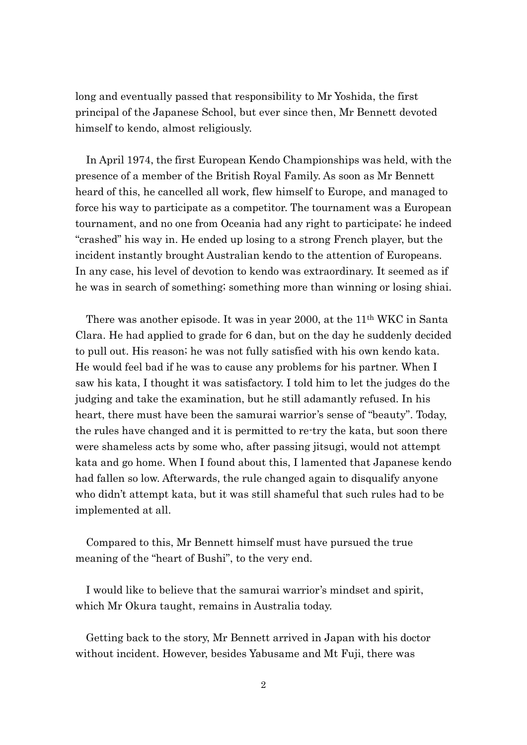long and eventually passed that responsibility to Mr Yoshida, the first principal of the Japanese School, but ever since then, Mr Bennett devoted himself to kendo, almost religiously.

 In April 1974, the first European Kendo Championships was held, with the presence of a member of the British Royal Family. As soon as Mr Bennett heard of this, he cancelled all work, flew himself to Europe, and managed to force his way to participate as a competitor. The tournament was a European tournament, and no one from Oceania had any right to participate; he indeed "crashed" his way in. He ended up losing to a strong French player, but the incident instantly brought Australian kendo to the attention of Europeans. In any case, his level of devotion to kendo was extraordinary. It seemed as if he was in search of something; something more than winning or losing shiai.

 There was another episode. It was in year 2000, at the 11th WKC in Santa Clara. He had applied to grade for 6 dan, but on the day he suddenly decided to pull out. His reason; he was not fully satisfied with his own kendo kata. He would feel bad if he was to cause any problems for his partner. When I saw his kata, I thought it was satisfactory. I told him to let the judges do the judging and take the examination, but he still adamantly refused. In his heart, there must have been the samurai warrior's sense of "beauty". Today, the rules have changed and it is permitted to re-try the kata, but soon there were shameless acts by some who, after passing jitsugi, would not attempt kata and go home. When I found about this, I lamented that Japanese kendo had fallen so low. Afterwards, the rule changed again to disqualify anyone who didn't attempt kata, but it was still shameful that such rules had to be implemented at all.

Compared to this, Mr Bennett himself must have pursued the true meaning of the "heart of Bushi", to the very end.

I would like to believe that the samurai warrior's mindset and spirit, which Mr Okura taught, remains in Australia today.

Getting back to the story, Mr Bennett arrived in Japan with his doctor without incident. However, besides Yabusame and Mt Fuji, there was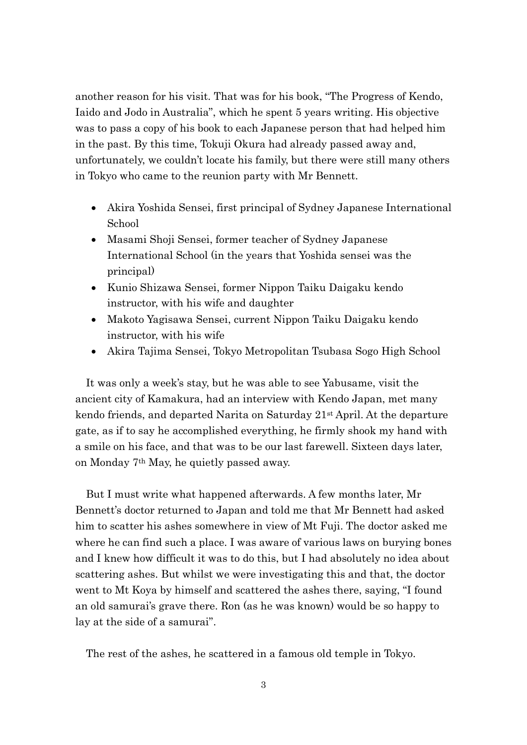another reason for his visit. That was for his book, "The Progress of Kendo, Iaido and Jodo in Australia", which he spent 5 years writing. His objective was to pass a copy of his book to each Japanese person that had helped him in the past. By this time, Tokuji Okura had already passed away and, unfortunately, we couldn't locate his family, but there were still many others in Tokyo who came to the reunion party with Mr Bennett.

- Akira Yoshida Sensei, first principal of Sydney Japanese International School
- Masami Shoji Sensei, former teacher of Sydney Japanese International School (in the years that Yoshida sensei was the principal)
- Kunio Shizawa Sensei, former Nippon Taiku Daigaku kendo instructor, with his wife and daughter
- Makoto Yagisawa Sensei, current Nippon Taiku Daigaku kendo instructor, with his wife
- Akira Tajima Sensei, Tokyo Metropolitan Tsubasa Sogo High School

 It was only a week's stay, but he was able to see Yabusame, visit the ancient city of Kamakura, had an interview with Kendo Japan, met many kendo friends, and departed Narita on Saturday 21st April. At the departure gate, as if to say he accomplished everything, he firmly shook my hand with a smile on his face, and that was to be our last farewell. Sixteen days later, on Monday 7th May, he quietly passed away.

But I must write what happened afterwards. A few months later, Mr Bennett's doctor returned to Japan and told me that Mr Bennett had asked him to scatter his ashes somewhere in view of Mt Fuji. The doctor asked me where he can find such a place. I was aware of various laws on burying bones and I knew how difficult it was to do this, but I had absolutely no idea about scattering ashes. But whilst we were investigating this and that, the doctor went to Mt Koya by himself and scattered the ashes there, saying, "I found an old samurai's grave there. Ron (as he was known) would be so happy to lay at the side of a samurai".

The rest of the ashes, he scattered in a famous old temple in Tokyo.